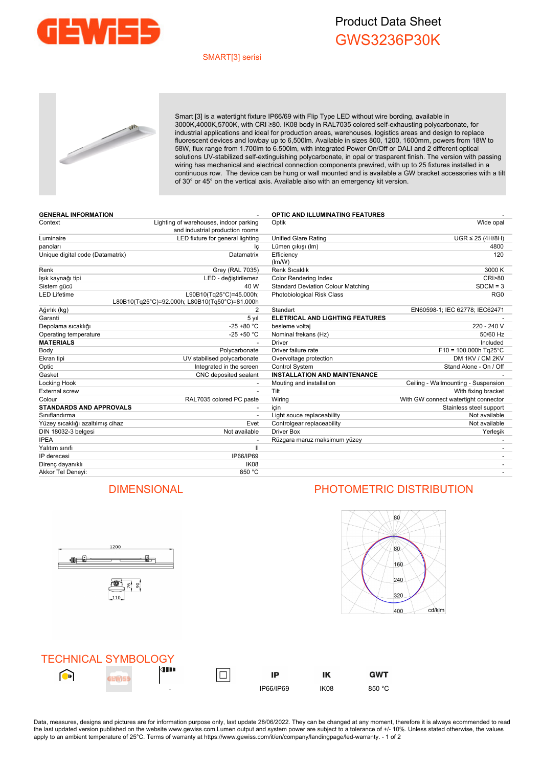

## Product Data Sheet GWS3236P30K

### SMART[3] serisi



Smart [3] is a watertight fixture IP66/69 with Flip Type LED without wire bording, available in 3000K,4000K,5700K, with CRI ≥80. IK08 body in RAL7035 colored self-exhausting polycarbonate, for industrial applications and ideal for production areas, warehouses, logistics areas and design to replace fluorescent devices and lowbay up to 6,500lm. Available in sizes 800, 1200, 1600mm, powers from 18W to 58W, flux range from 1.700lm to 6.500lm, with integrated Power On/Off or DALI and 2 different optical solutions UV-stabilized self-extinguishing polycarbonate, in opal or trasparent finish. The version with passing wiring has mechanical and electrical connection components prewired, with up to 25 fixtures installed in a continuous row. The device can be hung or wall mounted and is available a GW bracket accessories with a tilt of 30° or 45° on the vertical axis. Available also with an emergency kit version.

| <b>GENERAL INFORMATION</b>       |                                                                           | <b>OPTIC AND ILLUMINATING FEATURES</b>    |                                      |
|----------------------------------|---------------------------------------------------------------------------|-------------------------------------------|--------------------------------------|
| Context                          | Lighting of warehouses, indoor parking<br>and industrial production rooms | Optik                                     | Wide opal                            |
| Luminaire                        | LED fixture for general lighting                                          | <b>Unified Glare Rating</b>               | $UGR \leq 25$ (4H/8H)                |
| panoları                         | lç                                                                        | Lümen çıkışı (İm)                         | 4800                                 |
| Unique digital code (Datamatrix) | Datamatrix                                                                | Efficiency<br>(Im/W)                      | 120                                  |
| Renk                             | Grey (RAL 7035)                                                           | Renk Sıcaklık                             | 3000 K                               |
| lşık kaynağı tipi                | LED - değiştirilemez                                                      | Color Rendering Index                     | <b>CRI&gt;80</b>                     |
| Sistem gücü                      | 40 W                                                                      | <b>Standard Deviation Colour Matching</b> | $SDCM = 3$                           |
| <b>LED Lifetime</b>              | L90B10(Tg25°C)=45.000h;<br>L80B10(Tg25°C)=92.000h; L80B10(Tg50°C)=81.000h | Photobiological Risk Class                | RG <sub>0</sub>                      |
| Ağırlık (kg)                     | $\overline{2}$                                                            | Standart                                  | EN60598-1; IEC 62778; IEC62471       |
| Garanti                          | 5 yıl                                                                     | ELETRICAL AND LIGHTING FEATURES           |                                      |
| Depolama sıcaklığı               | $-25 + 80 °C$                                                             | besleme voltaj                            | 220 - 240 V                          |
| Operating temperature            | $-25 + 50 °C$                                                             | Nominal frekans (Hz)                      | 50/60 Hz                             |
| <b>MATERIALS</b>                 |                                                                           | <b>Driver</b>                             | Included                             |
| Body                             | Polycarbonate                                                             | Driver failure rate                       | $F10 = 100.000h$ Tg25°C              |
| Ekran tipi                       | UV stabilised polycarbonate                                               | Overvoltage protection                    | DM 1KV / CM 2KV                      |
| Optic                            | Integrated in the screen                                                  | <b>Control System</b>                     | Stand Alone - On / Off               |
| Gasket                           | CNC deposited sealant                                                     | <b>INSTALLATION AND MAINTENANCE</b>       |                                      |
| Locking Hook                     |                                                                           | Mouting and installation                  | Ceiling - Wallmounting - Suspension  |
| <b>External screw</b>            |                                                                           | Tilt                                      | With fixing bracket                  |
| Colour                           | RAL7035 colored PC paste                                                  | Wiring                                    | With GW connect watertight connector |
| <b>STANDARDS AND APPROVALS</b>   |                                                                           | icin                                      | Stainless steel support              |
| Sınıflandırma                    |                                                                           | Light souce replaceability                | Not available                        |
| Yüzey sıcaklığı azaltılmış cihaz | Evet                                                                      | Controlgear replaceability                | Not available                        |
| DIN 18032-3 belgesi              | Not available                                                             | <b>Driver Box</b>                         | Yerleşik                             |
| <b>IPEA</b>                      |                                                                           | Rüzgara maruz maksimum yüzey              |                                      |
| Yalıtım sınıfı                   | $\mathbf{I}$                                                              |                                           |                                      |
| IP derecesi                      | IP66/IP69                                                                 |                                           |                                      |
| Direnç dayanıklı                 | IK08                                                                      |                                           |                                      |
| Akkor Tel Deneyi:                | 850 °C                                                                    |                                           |                                      |



## DIMENSIONAL PHOTOMETRIC DISTRIBUTION



**GWT** 



Data, measures, designs and pictures are for information purpose only, last update 28/06/2022. They can be changed at any moment, therefore it is always ecommended to read the last updated version published on the website www.gewiss.com.Lumen output and system power are subject to a tolerance of +/- 10%. Unless stated otherwise, the values apply to an ambient temperature of 25°C. Terms of warranty at https://www.gewiss.com/it/en/company/landingpage/led-warranty. - 1 of 2